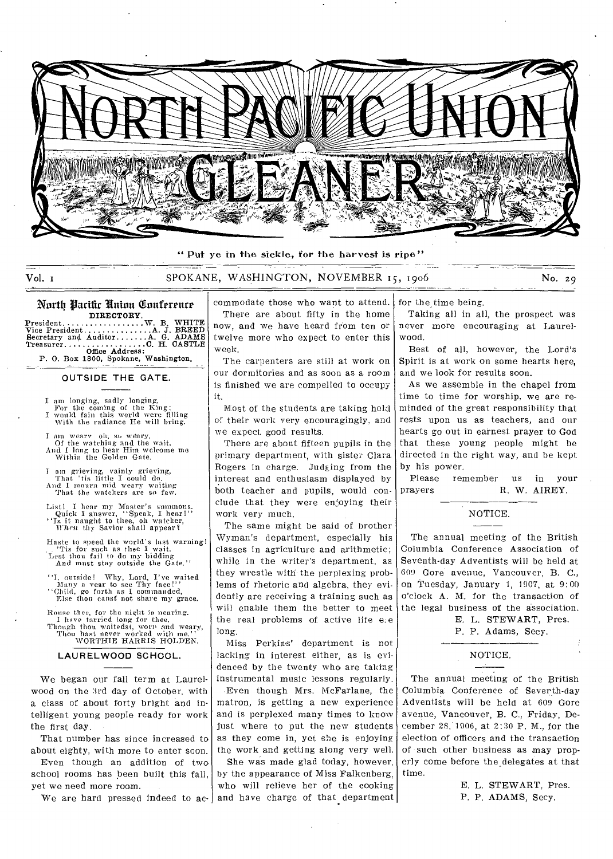

" Put ye in the sickle, for the harvest is ripe"

# Vol. 1 SPOKANE, WASHINGTON, NOVEMBER 15, 1906 No. 29

## North Pacific Union Conference

DIRECTORY President M. B. WHITE Vice President A. J. BREED Secretary and Auditor A. J. BREED Secretary and Auditor CH. Ag. ADAMS Office Address: P. 0. Box 1800, Spokane, Washington.

— —

#### OUTSIDE THE GATE.

I am longing, sadly longing, For the coming of the King; I would fain this world were filling With the radiance Be will bring.

I am wearv oh; so weary,<br>Of the watching and the wait,<br>And I long to hear Him welcome me<br>Within the Golden Gate.

am grieving, vainly grieving, That 'tis little I could do. And I mourn mid weary waiting That the watchers are so few.

List! I hear my Master's summons.<br>Quick I answer, "Speak, I hear!"<br>"Is it naught to thee, oh watcher,<br>"I'hen thy Savior shall appear?

Haste to speed the world's last warning! This for such as thee I wait.<br>Lest thou fail to do my bidding And must stay outside the Gate."

").. outside! Why, Lord, I've waited Many a year to see Thy face!" "Child, go forth as I commanded, Else thou canal not share my grace.

Rouse thee, for the night is nearing. I have tarried long for thee. Though thou waitedst, worn and weary, Thou haat never worked with me." WORTHIE HARRIS HOLDEN.

#### LAURELWOOD SCHOOL.

We began our fall term at Laurelwood on the 3rd day of October. with a class of about forty bright and intelligent young people ready for work the first day.

That number has since increased to about eighty, with more to enter soon.

Even though an addition of two school rooms has been built this fall. yet we need more room.

commodate those who want to attend. There are about fifty in the home now, and we have heard from ten or twelve more who expect to enter this week.

The carpenters are still at work on our dormitories and as soon as a room is finished we are compelled to occupy it.

Most of the students are taking hold of their work very encouragingly, and we expect good results.

There are about fifteen pupils in the primary department, with sister Clara Rogers in charge. Judging from the interest and enthusiasm displayed by both teacher and pupils, would conclude that they were enjoying their work very much.

The same might be said of brother Wy.man's department, especially his classes in agriculture and arithmetic; while in the writer's department, as they wrestle with. the perplexing problems of rhetoric and algebra, they evidently are receiving a training such as will enable them the better to meet the real problems of active life ele long.

Miss Perkins' department is not lacking in interest either, as is evidenced by the twenty who are taking instrumental music lessons regularly.

Even though Mrs. McFarlane, the matron, is getting a new experience and is perplexed many times to know just where to put the new students as they come in, yet she is enjoying the work and getting along very well.

We are hard pressed indeed to ac- and have charge of that department She was made glad today, however, by the appearance of Miss Falkenberg, who will relieve her of the cooking

for the time being.

Taking all in all, the prospect was never more encouraging at Laurelwood.

Best of all, however, the Lord's Spirit is at work on some hearts here, and we look for results soon.

As we assemble in the chapel from time to time for worship, we are reminded of the great responsibility that rests upon us as teachers, and our hearts go out in earnest prayer to God that these young people might be directed in the right way, and be kept by his power.

Please remember us in your prayers R. W. AIREY.

#### NOTICE.

The annual meeting of the British Columbia Conference Association of Seventh-day Adventists will be held at 609 Gore avenue, Vancouver, B. C., on Tuesday, January 1, 1007, at 9:00 o'clock A. M. for the transaction of the legal business of the association.

E. L. STEWART, Pres.

P. P. Adams, Secy.

NOTICE.

The annual meeting of the British Columbia Conference of Severth-day Adventists will be held at 609 Gore avenue, Vancouver, B. C., Friday, December 28, 1906, at 2:30 P. M.. for the election of officers and the transaction of such other business as may properly come before the\_delegates at that time.

> E. L. STEWART, Pres. P. P. ADAMS, Secy.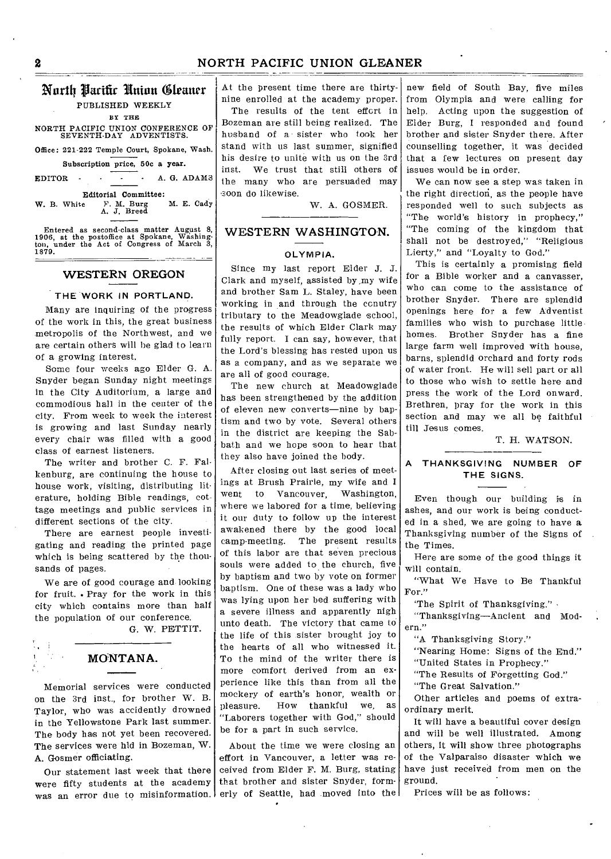# **2** NORTH PACIFIC UNION GLEANER

## Nurt1 Part& Intim 61rattrr PUBLISHED WEEKLY

BY THE

NORTH PACIFIC UNION CONFERENCE OF SEVENTH-DAY ADVENTISTS.

Office: 221-222 Temple Court, Spokane, Wash.

Subscription price, 50c a year.

EDITOR - - - - A. G. ADAMS

Editorial Committee:<br>W. B. White F. M. Burg M. E. Cady W. B. White F. M. Burg M. E. Cady A. J. Breed

Entered as second-class matter August 8, 1906, at the postoffice at Spokane, Washing-<br>ton, under the Act of Congress of March 3, 1879.

### WESTERN OREGON

#### THE WORK IN PORTLAND.

Many are inquiring of the progress of the work in this, the great business metropolis of the Northwest, and we are certain others will be glad to learn of a growing interest.

Some four weeks ago Elder G. A. Snyder began Sunday night meetings in the City Auditorium, a large and commodious hall in the center of the city. From week to week the interest is growing and last Sunday nearly every chair was filled with a good class of earnest listeners.

The writer and brother C. F. Falkenburg, are continuing the house to house work, visiting, distributing literature, holding Bible readings, cottage meetings and public services in different sections of the city.

There are earnest people investigating and reading the printed page which is being scattered by the thousands of pages.

We are of good courage and looking for fruit. . Pray for the work in this city which contains more than half the population of our conference.

G. W. PETTIT.

# MONTANA.

 $\mathcal{L}_{\mathbf{r}} = \mathcal{L}$ -9

Memorial services were conducted on the 3rd inst., for brother W. B. Taylor, who was accidently drowned in the Yellowstone Park last summer. The body has not yet been recovered. The services were hld in Bozeman, W. A. Gosmer officiating.

Our statement last week that there were fifty students at the academy was an error due to misinformation.

At the present time there are thirtynine enrolled at the academy proper.

The results of the tent effort in Bozeman are still being realized. The husband of a sister who took her stand with us last summer, signified his desire to unite with us on the 3rd inst. We trust that still others of the many who are persuaded may soon do likewise.

W. A. GOSMER.

### WESTERN WASHINGTON.

#### OLYMPIA.

Since my last report Elder J. J. Clark and myself, assisted by ,my wife and brother Sam L. Staley, have been working in and through the ccnutry tributary to the Meadowglade school, the results of which Elder Clark may fully report. I can say, however, that the Lord's blessing has rested upon us as a company, and as we separate we are all of good courage.

The new church at Meadowglade has been strengthened by the addition of eleven new converts—nine by baptism and two by vote. Several others in the district are keeping the Sabbath and we hope soon to hear that they also have joined the body.

After closing out last series of meetings at Brush Prairie, my wife and I went to Vancouver, Washington, where we labored for a time, believing it our duty to follow up the interest awakened there by the good local camp-meeting. The present results of this labor are that seven precious souls were added to the church, five by baptism and two by vote on former baptism. One of these was a lady who was lying upon her bed suffering with a severe illness and apparently nigh unto death. The victory that came to the life of this sister brought joy to the hearts of all who witnessed it. To the mind of the writer there is more comfort derived from an experience like this than from all the mockery of earth's honor, wealth or<br>pleasure. How thankful we as How thankful we, as "Laborers together with God," should be for a part in such service.

About the time we were closing an effort in Vancouver, a letter was received from Elder F. M. Burg, stating that brother and sister Snyder, formerly of Seattle, had moved into the

new field of South Bay, five miles from Olympia and were calling for help. Acting upon the suggestion of Elder Burg, I responded and found brother and sister Snyder there. After counselling together, it was decided that a few lectures on present day issues would be in order.

We can now see a step was taken in the right direction, as the people have responded well to such subjects as "The world's history in prophecy," "The coming of the kingdom that shall not be destroyed," "Religious Lierty," and "Loyalty to God."

This is certainly a promising field for a Bible worker and a canvasser, who can come to the assistance of brother Snyder. There are splendid openings here for a few Adventist families who wish to purchase little homes. Brother Snyder has a fine large farm well improved with house, barns, splendid orchard and forty rods of water front. He will sell part or all to those who wish to settle here and press the work of the Lord onward. Brethren, pray for the work in this section and may we all be faithful till Jesus comes.

T. H. WATSON.

## THANKSGIVING NUMBER OF THE SIGNS.

Even though our building is in ashes, and our work is being conducted in a shed, we are going to have a Thanksgiving number of the Signs of the Times.

Here are some of the good things it will contain.

"What We Have to Be Thankful For."

'The Spirit of Thanksgiving." .

"Thanksgiving—Ancient and Modern."

"A Thanksgiving Story."

"Nearing Home: Signs of the End." "United States in Prophecy."

"The Results of Forgetting God."

"The Great Salvation."

Other articles and poems of extraordinary merit.

It will have a beautiful cover design and will be well illustrated. Among others, it will show three photographs of the Valparaiso disaster which we have just received from men on the ground.

Prices will be as follows: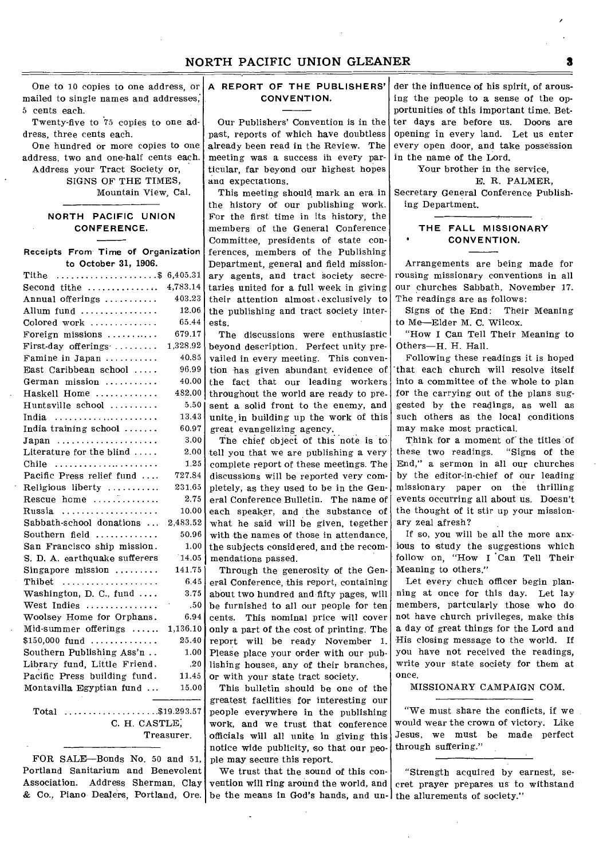One to 10 copies to one address, or mailed to single names and addresses: 5 cents each.

Twenty-five to 75 copies to one address, three cents each.

One hundred or more copies to one address, two and one-half cents each.

Address your Tract Society or, SIGNS OF THE TIMES,

Mountain View, Cal.

# NORTH PACIFIC UNION CONFERENCE.

Receipts From Time of Organization to October 31, 1906

| Tithe $\ldots \ldots \ldots \ldots \ldots \$      | 6,405.31 |
|---------------------------------------------------|----------|
| Second tithe                                      | 4,783.14 |
| Annual offerings                                  | 403.23   |
| Allum fund                                        | 12.06    |
| Colored work                                      | 65.44    |
| Foreign missions                                  | 679.17   |
| First-day offerings                               | 1,328.92 |
| Famine in Japan                                   | 40.85    |
| East Caribbean school                             | 96.99    |
| German mission                                    | 40.00    |
| Haskell Home                                      | 482.00   |
| Huntsville school                                 | 5.50     |
| India                                             | 13.43    |
| India training school                             | 60.97    |
| $Japan \dots \dots \dots \dots \dots \dots \dots$ | 3.00     |
| Literature for the blind $\ldots$ .               | 2.00     |
| Chile                                             | 1.25     |
| Pacific Press relief fund                         | 727.84   |
| Religious liberty                                 | 231.65   |
| Rescue home                                       | 2.75     |
| Russia                                            | 10.00    |
| Sabbath-school donations                          | 2,483.52 |
| Southern field                                    | 50.96    |
| San Francisco ship mission.                       | 1.00     |
| S. D. A. earthquake sufferers                     | 14.05    |
| Singapore mission $\ldots$                        | 141.75   |
| Thibet                                            | 6.45     |
| Washington, D. C., fund                           | 3.75     |
| West Indies                                       | .50      |
| Woolsey Home for Orphans.                         | 6.94     |
| Mid-summer offerings                              | 1,136.10 |
| $$150,000$ fund                                   | 25.40    |
| Southern Publishing Ass'n                         | 1.00     |
| Library fund, Little Friend.                      | .20      |
| Pacific Press building fund.                      | 11.45    |
| Montavilla Egyptian fund                          | 15.00    |
|                                                   |          |
| Total \$19.293.57                                 |          |

C. H. CASTLE, Treasurer.

FOR SALE-Bonds No. 50 and 51, Portland Sanitarium and Benevolent Association. Address Sherman, Clay vention will ring around the world, and

## A REPORT OF THE PUBLISHERS' CONVENTION.

Our Publishers' Convention is in the past, reports of which have doubtless already been read in the Review. The meeting was a success in every particular, far beyond our highest hopes and expectations.

This meeting should mark an era in the history of our publishing work. For the first time in its history, the members of the General Conference Committee, presidents of state conferences, members of the Publishing Department, general and field missionary agents, and tract society secretaries united for a full week in giving their attention almost , exclusively to the publishing and tract society interests.

The discussions were enthusiastic beyond description. Perfect unity prevailed in every meeting. This convention has given abundant evidence of the fact that our leading workers throughout the world are ready to present a solid front to the enemy, and unite in building up the work of this great evangelizing agency.

The chief object of this note is to tell you that we are publishing a very complete report of these meetings. The discussions will be reported very completely, as they used to be in the General Conference Bulletin. The name of each speaker, and the substance of what he said will be given, together with the names of those in attendance, the subjects considered, and the recommendations passed.

Through the generosity of the General Conference, this report, containing about two hundred and fifty pages, will be furnished to all our people for ten cents. This nominal price will cover only a part of the cost of printing. The report will be ready November 1. Please place your order with our publishing houses, any of their branches, or with your state tract society.

This bulletin should be one of the greatest facilities for interesting our people everywhere in the publishing work, and we trust that conference officials will all unite in giving this notice wide publicity, so that our people may secure this report.

& Co., Piano Dealers, Portland, Ore. be the means in God's hands, and un- the allurements of society." We trust that the sound of this con-

der the influence of his spirit, of arousing the people to a sense of the opportunities of this important time. Better days are before us. Doors are opening in every land. Let us enter every open door, and take possession in the name of the Lord.

Your brother in the service,

E. R. PALMER,

Secretary General Conference Publishing Department.

### THE FALL MISSIONARY CONVENTION.

Arrangements are being made for rousing missionary conventions in all our churches Sabbath, November 17. The readings are as follows:

Signs of the End: Their Meaning to Me-Elder M. C. Wilcox.

"How I Can Tell Their Meaning to Others-H. H. Hall.

Following these readings it is hoped 'that each church will resolve itself into a committee of the whole to plan for the carrying out of the plans suggested by the readings, as well as such others as the local conditions may make most practical.

Think for a moment of the titles of these two readings. "Signs of the End," a sermon in all our churches by the editor-in-chief of our leading missionary paper on the thrilling events occurring all about us. Doesn't the thought of it stir up your missionary zeal afresh?

If so, you will be all the more anxious to study the suggestions which follow on, "How I Can Tell Their Meaning to others."

Let every chuch officer begin planning at once for this day. Let lay members, partcularly those who do not have church privileges, make this a day of great things for the Lord and His closing message to the world. If you have not received the readings, write your state society for them at once.

MISSIONARY CAMPAIGN COM.

"We must share the conflicts, if we would wear the crown of victory. Like Jesus, we must be made perfect through suffering."

"Strength acquired by earnest, secret prayer prepares us to withstand